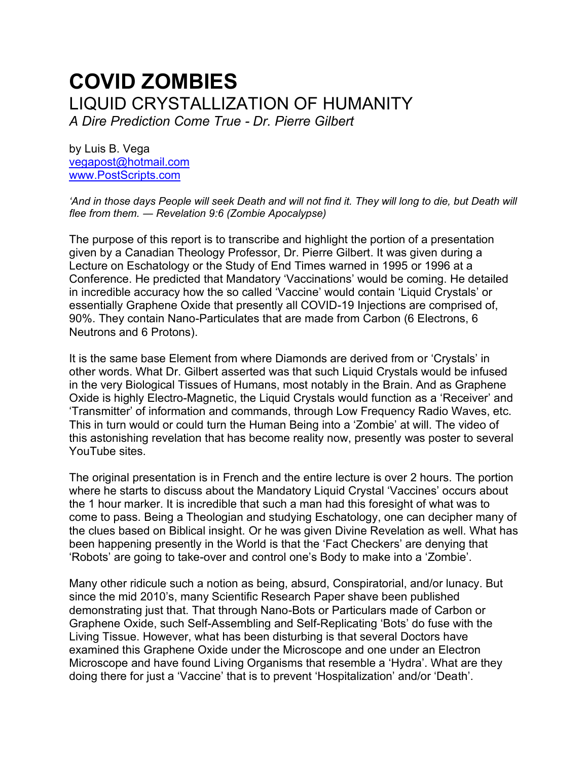# **COVID ZOMBIES** LIQUID CRYSTALLIZATION OF HUMANITY *A Dire Prediction Come True - Dr. Pierre Gilbert*

by Luis B. Vega [vegapost@hotmail.com](mailto:vegapost@hotmail.com) [www.PostScripts.com](http://www.postscripts.com/)

*'And in those days People will seek Death and will not find it. They will long to die, but Death will flee from them. ― Revelation 9:6 (Zombie Apocalypse)*

The purpose of this report is to transcribe and highlight the portion of a presentation given by a Canadian Theology Professor, Dr. Pierre Gilbert. It was given during a Lecture on Eschatology or the Study of End Times warned in 1995 or 1996 at a Conference. He predicted that Mandatory 'Vaccinations' would be coming. He detailed in incredible accuracy how the so called 'Vaccine' would contain 'Liquid Crystals' or essentially Graphene Oxide that presently all COVID-19 Injections are comprised of, 90%. They contain Nano-Particulates that are made from Carbon (6 Electrons, 6 Neutrons and 6 Protons).

It is the same base Element from where Diamonds are derived from or 'Crystals' in other words. What Dr. Gilbert asserted was that such Liquid Crystals would be infused in the very Biological Tissues of Humans, most notably in the Brain. And as Graphene Oxide is highly Electro-Magnetic, the Liquid Crystals would function as a 'Receiver' and 'Transmitter' of information and commands, through Low Frequency Radio Waves, etc. This in turn would or could turn the Human Being into a 'Zombie' at will. The video of this astonishing revelation that has become reality now, presently was poster to several YouTube sites.

The original presentation is in French and the entire lecture is over 2 hours. The portion where he starts to discuss about the Mandatory Liquid Crystal 'Vaccines' occurs about the 1 hour marker. It is incredible that such a man had this foresight of what was to come to pass. Being a Theologian and studying Eschatology, one can decipher many of the clues based on Biblical insight. Or he was given Divine Revelation as well. What has been happening presently in the World is that the 'Fact Checkers' are denying that 'Robots' are going to take-over and control one's Body to make into a 'Zombie'.

Many other ridicule such a notion as being, absurd, Conspiratorial, and/or lunacy. But since the mid 2010's, many Scientific Research Paper shave been published demonstrating just that. That through Nano-Bots or Particulars made of Carbon or Graphene Oxide, such Self-Assembling and Self-Replicating 'Bots' do fuse with the Living Tissue. However, what has been disturbing is that several Doctors have examined this Graphene Oxide under the Microscope and one under an Electron Microscope and have found Living Organisms that resemble a 'Hydra'. What are they doing there for just a 'Vaccine' that is to prevent 'Hospitalization' and/or 'Death'.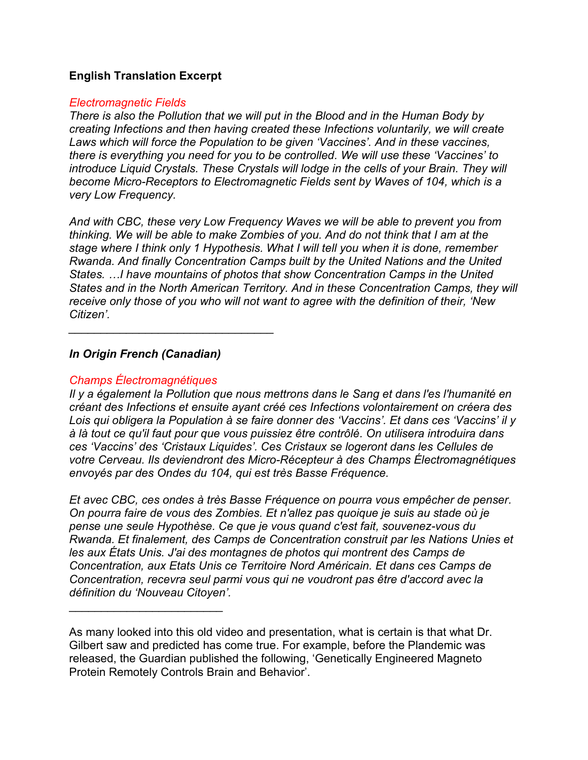## **English Translation Excerpt**

#### *Electromagnetic Fields*

*There is also the Pollution that we will put in the Blood and in the Human Body by creating Infections and then having created these Infections voluntarily, we will create Laws which will force the Population to be given 'Vaccines'. And in these vaccines, there is everything you need for you to be controlled. We will use these 'Vaccines' to introduce Liquid Crystals. These Crystals will lodge in the cells of your Brain. They will become Micro-Receptors to Electromagnetic Fields sent by Waves of 104, which is a very Low Frequency.* 

*And with CBC, these very Low Frequency Waves we will be able to prevent you from thinking. We will be able to make Zombies of you. And do not think that I am at the stage where I think only 1 Hypothesis. What I will tell you when it is done, remember Rwanda. And finally Concentration Camps built by the United Nations and the United States. …I have mountains of photos that show Concentration Camps in the United States and in the North American Territory. And in these Concentration Camps, they will receive only those of you who will not want to agree with the definition of their, 'New Citizen'.* 

## *In Origin French (Canadian)*

*\_\_\_\_\_\_\_\_\_\_\_\_\_\_\_\_\_\_\_\_\_\_\_\_\_\_\_\_\_\_\_\_*

### *Champs Électromagnétiques*

\_\_\_\_\_\_\_\_\_\_\_\_\_\_\_\_\_\_\_\_\_\_\_\_

*Il y a également la Pollution que nous mettrons dans le Sang et dans l'es l'humanité en créant des Infections et ensuite ayant créé ces Infections volontairement on créera des Lois qui obligera la Population à se faire donner des 'Vaccins'. Et dans ces 'Vaccins' il y à là tout ce qu'il faut pour que vous puissiez être contrôlé. On utilisera introduira dans ces 'Vaccins' des 'Cristaux Liquides'. Ces Cristaux se logeront dans les Cellules de votre Cerveau. Ils deviendront des Micro-Récepteur à des Champs Électromagnétiques envoyés par des Ondes du 104, qui est très Basse Fréquence.*

*Et avec CBC, ces ondes à très Basse Fréquence on pourra vous empêcher de penser. On pourra faire de vous des Zombies. Et n'allez pas quoique je suis au stade où je pense une seule Hypothèse. Ce que je vous quand c'est fait, souvenez-vous du Rwanda. Et finalement, des Camps de Concentration construit par les Nations Unies et les aux États Unis. J'ai des montagnes de photos qui montrent des Camps de Concentration, aux Etats Unis ce Territoire Nord Américain. Et dans ces Camps de Concentration, recevra seul parmi vous qui ne voudront pas être d'accord avec la définition du 'Nouveau Citoyen'.*

As many looked into this old video and presentation, what is certain is that what Dr. Gilbert saw and predicted has come true. For example, before the Plandemic was released, the Guardian published the following, 'Genetically Engineered Magneto Protein Remotely Controls Brain and Behavior'.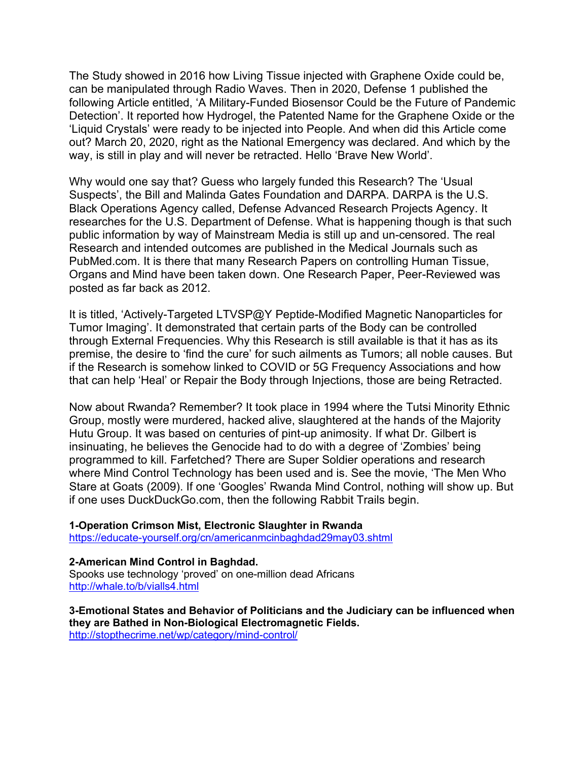The Study showed in 2016 how Living Tissue injected with Graphene Oxide could be, can be manipulated through Radio Waves. Then in 2020, Defense 1 published the following Article entitled, 'A Military-Funded Biosensor Could be the Future of Pandemic Detection'. It reported how Hydrogel, the Patented Name for the Graphene Oxide or the 'Liquid Crystals' were ready to be injected into People. And when did this Article come out? March 20, 2020, right as the National Emergency was declared. And which by the way, is still in play and will never be retracted. Hello 'Brave New World'.

Why would one say that? Guess who largely funded this Research? The 'Usual Suspects', the Bill and Malinda Gates Foundation and DARPA. DARPA is the U.S. Black Operations Agency called, Defense Advanced Research Projects Agency. It researches for the U.S. Department of Defense. What is happening though is that such public information by way of Mainstream Media is still up and un-censored. The real Research and intended outcomes are published in the Medical Journals such as PubMed.com. It is there that many Research Papers on controlling Human Tissue, Organs and Mind have been taken down. One Research Paper, Peer-Reviewed was posted as far back as 2012.

It is titled, 'Actively-Targeted LTVSP@Y Peptide-Modified Magnetic Nanoparticles for Tumor Imaging'. It demonstrated that certain parts of the Body can be controlled through External Frequencies. Why this Research is still available is that it has as its premise, the desire to 'find the cure' for such ailments as Tumors; all noble causes. But if the Research is somehow linked to COVID or 5G Frequency Associations and how that can help 'Heal' or Repair the Body through Injections, those are being Retracted.

Now about Rwanda? Remember? It took place in 1994 where the Tutsi Minority Ethnic Group, mostly were murdered, hacked alive, slaughtered at the hands of the Majority Hutu Group. It was based on centuries of pint-up animosity. If what Dr. Gilbert is insinuating, he believes the Genocide had to do with a degree of 'Zombies' being programmed to kill. Farfetched? There are Super Soldier operations and research where Mind Control Technology has been used and is. See the movie, 'The Men Who Stare at Goats (2009). If one 'Googles' Rwanda Mind Control, nothing will show up. But if one uses DuckDuckGo.com, then the following Rabbit Trails begin.

#### **1-Operation Crimson Mist, Electronic Slaughter in Rwanda** <https://educate-yourself.org/cn/americanmcinbaghdad29may03.shtml>

#### **2-American Mind Control in Baghdad.**

Spooks use technology 'proved' on one-million dead Africans <http://whale.to/b/vialls4.html>

**3-Emotional States and Behavior of Politicians and the Judiciary can be influenced when they are Bathed in Non-Biological Electromagnetic Fields.** <http://stopthecrime.net/wp/category/mind-control/>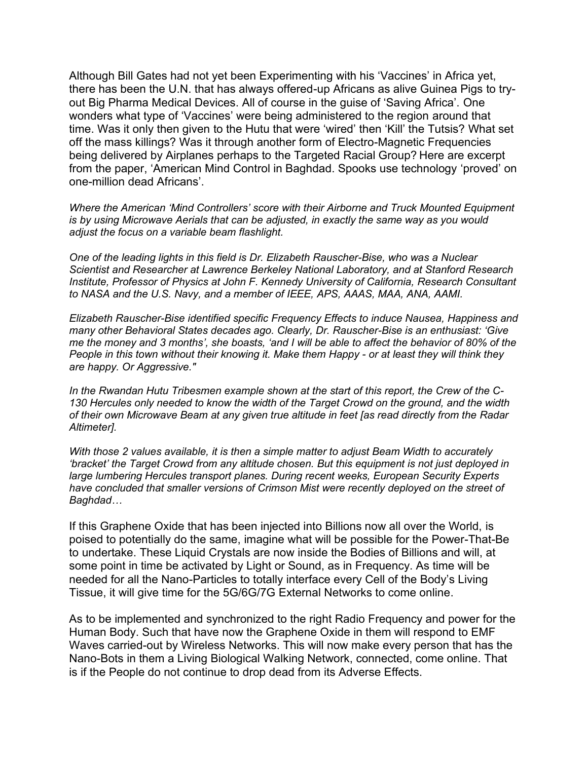Although Bill Gates had not yet been Experimenting with his 'Vaccines' in Africa yet, there has been the U.N. that has always offered-up Africans as alive Guinea Pigs to tryout Big Pharma Medical Devices. All of course in the guise of 'Saving Africa'. One wonders what type of 'Vaccines' were being administered to the region around that time. Was it only then given to the Hutu that were 'wired' then 'Kill' the Tutsis? What set off the mass killings? Was it through another form of Electro-Magnetic Frequencies being delivered by Airplanes perhaps to the Targeted Racial Group? Here are excerpt from the paper, 'American Mind Control in Baghdad. Spooks use technology 'proved' on one-million dead Africans'.

*Where the American 'Mind Controllers' score with their Airborne and Truck Mounted Equipment is by using Microwave Aerials that can be adjusted, in exactly the same way as you would adjust the focus on a variable beam flashlight.* 

*One of the leading lights in this field is Dr. Elizabeth Rauscher-Bise, who was a Nuclear Scientist and Researcher at Lawrence Berkeley National Laboratory, and at Stanford Research Institute, Professor of Physics at John F. Kennedy University of California, Research Consultant to NASA and the U.S. Navy, and a member of IEEE, APS, AAAS, MAA, ANA, AAMI.* 

*Elizabeth Rauscher-Bise identified specific Frequency Effects to induce Nausea, Happiness and many other Behavioral States decades ago. Clearly, Dr. Rauscher-Bise is an enthusiast: 'Give me the money and 3 months', she boasts, 'and I will be able to affect the behavior of 80% of the People in this town without their knowing it. Make them Happy - or at least they will think they are happy. Or Aggressive."*

*In the Rwandan Hutu Tribesmen example shown at the start of this report, the Crew of the C-130 Hercules only needed to know the width of the Target Crowd on the ground, and the width of their own Microwave Beam at any given true altitude in feet [as read directly from the Radar Altimeter].* 

*With those 2 values available, it is then a simple matter to adjust Beam Width to accurately 'bracket' the Target Crowd from any altitude chosen. But this equipment is not just deployed in large lumbering Hercules transport planes. During recent weeks, European Security Experts have concluded that smaller versions of Crimson Mist were recently deployed on the street of Baghdad…*

If this Graphene Oxide that has been injected into Billions now all over the World, is poised to potentially do the same, imagine what will be possible for the Power-That-Be to undertake. These Liquid Crystals are now inside the Bodies of Billions and will, at some point in time be activated by Light or Sound, as in Frequency. As time will be needed for all the Nano-Particles to totally interface every Cell of the Body's Living Tissue, it will give time for the 5G/6G/7G External Networks to come online.

As to be implemented and synchronized to the right Radio Frequency and power for the Human Body. Such that have now the Graphene Oxide in them will respond to EMF Waves carried-out by Wireless Networks. This will now make every person that has the Nano-Bots in them a Living Biological Walking Network, connected, come online. That is if the People do not continue to drop dead from its Adverse Effects.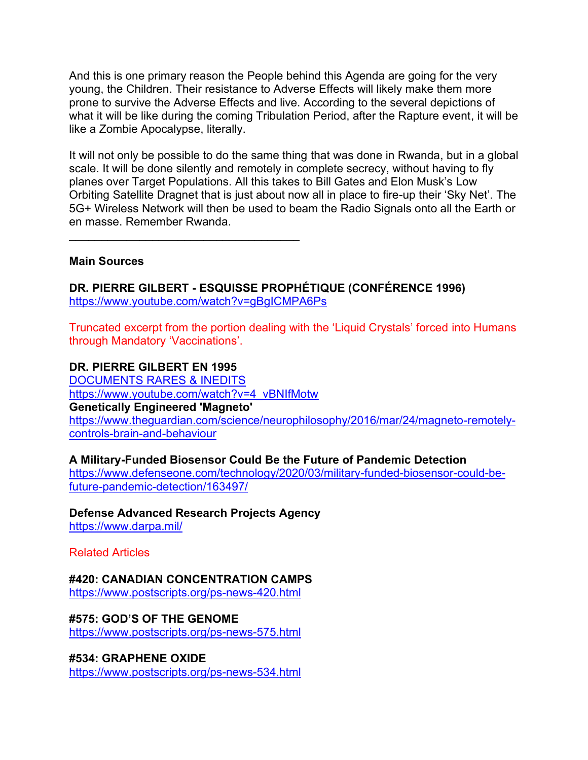And this is one primary reason the People behind this Agenda are going for the very young, the Children. Their resistance to Adverse Effects will likely make them more prone to survive the Adverse Effects and live. According to the several depictions of what it will be like during the coming Tribulation Period, after the Rapture event, it will be like a Zombie Apocalypse, literally.

It will not only be possible to do the same thing that was done in Rwanda, but in a global scale. It will be done silently and remotely in complete secrecy, without having to fly planes over Target Populations. All this takes to Bill Gates and Elon Musk's Low Orbiting Satellite Dragnet that is just about now all in place to fire-up their 'Sky Net'. The 5G+ Wireless Network will then be used to beam the Radio Signals onto all the Earth or en masse. Remember Rwanda.

 $\mathcal{L}_\text{max}$  , and the set of the set of the set of the set of the set of the set of the set of the set of the set of the set of the set of the set of the set of the set of the set of the set of the set of the set of the

#### **Main Sources**

**DR. PIERRE GILBERT - ESQUISSE PROPHÉTIQUE (CONFÉRENCE 1996)** <https://www.youtube.com/watch?v=gBgICMPA6Ps>

Truncated excerpt from the portion dealing with the 'Liquid Crystals' forced into Humans through Mandatory 'Vaccinations'.

#### **DR. PIERRE GILBERT EN 1995**

[DOCUMENTS RARES & INEDITS](https://www.youtube.com/channel/UCSegIc1KZ1LEaRYcl0zrJog) [https://www.youtube.com/watch?v=4\\_vBNIfMotw](https://www.youtube.com/watch?v=4_vBNIfMotw) **Genetically Engineered 'Magneto'**  [https://www.theguardian.com/science/neurophilosophy/2016/mar/24/magneto-remotely](https://www.theguardian.com/science/neurophilosophy/2016/mar/24/magneto-remotely-controls-brain-and-behaviour)[controls-brain-and-behaviour](https://www.theguardian.com/science/neurophilosophy/2016/mar/24/magneto-remotely-controls-brain-and-behaviour)

## **A Military-Funded Biosensor Could Be the Future of Pandemic Detection**

[https://www.defenseone.com/technology/2020/03/military-funded-biosensor-could-be](https://www.defenseone.com/technology/2020/03/military-funded-biosensor-could-be-future-pandemic-detection/163497/)[future-pandemic-detection/163497/](https://www.defenseone.com/technology/2020/03/military-funded-biosensor-could-be-future-pandemic-detection/163497/)

**Defense Advanced Research Projects Agency**  <https://www.darpa.mil/>

Related Articles

**#420: CANADIAN CONCENTRATION CAMPS** <https://www.postscripts.org/ps-news-420.html>

**#575: GOD'S OF THE GENOME** <https://www.postscripts.org/ps-news-575.html>

**#534: GRAPHENE OXIDE** <https://www.postscripts.org/ps-news-534.html>